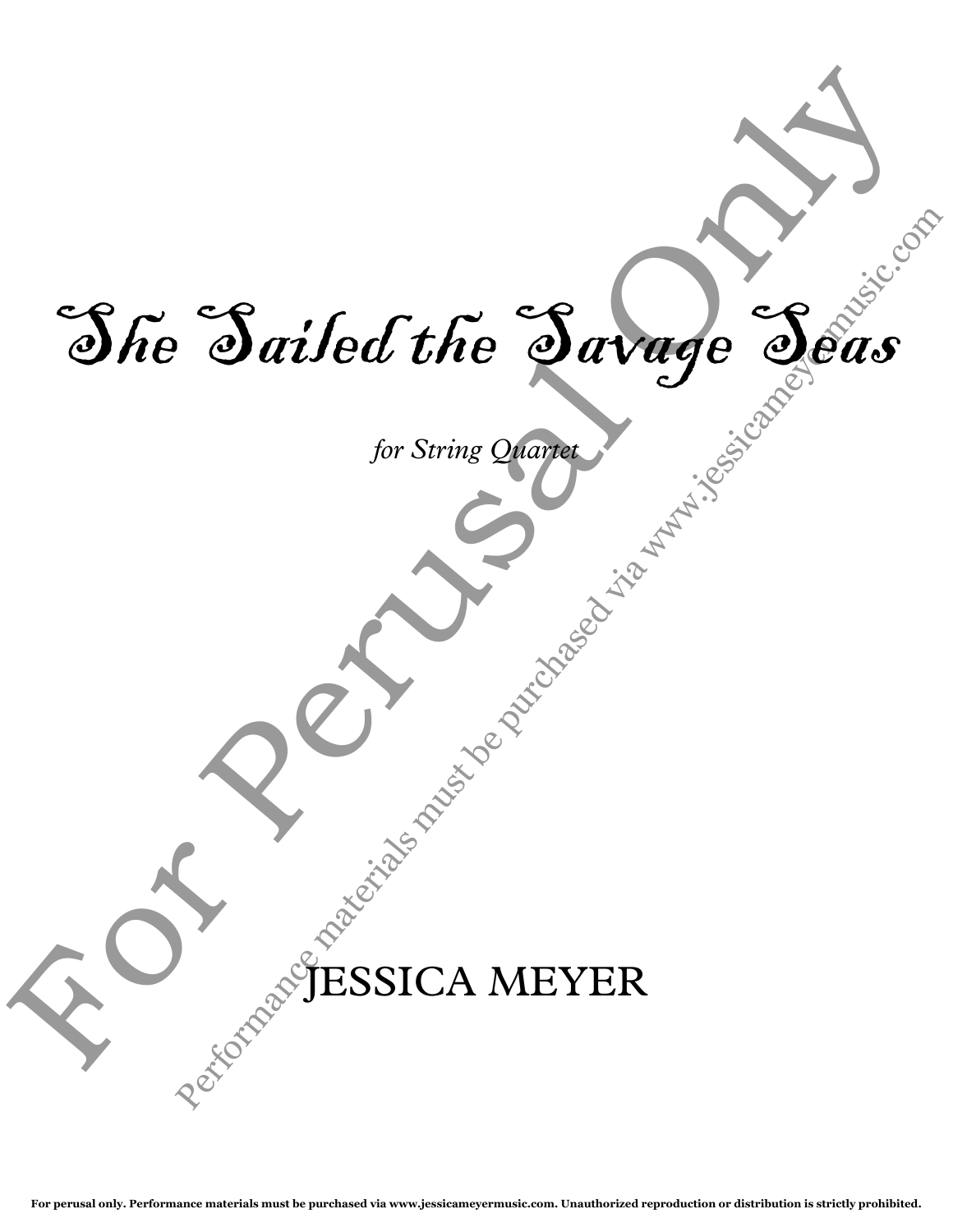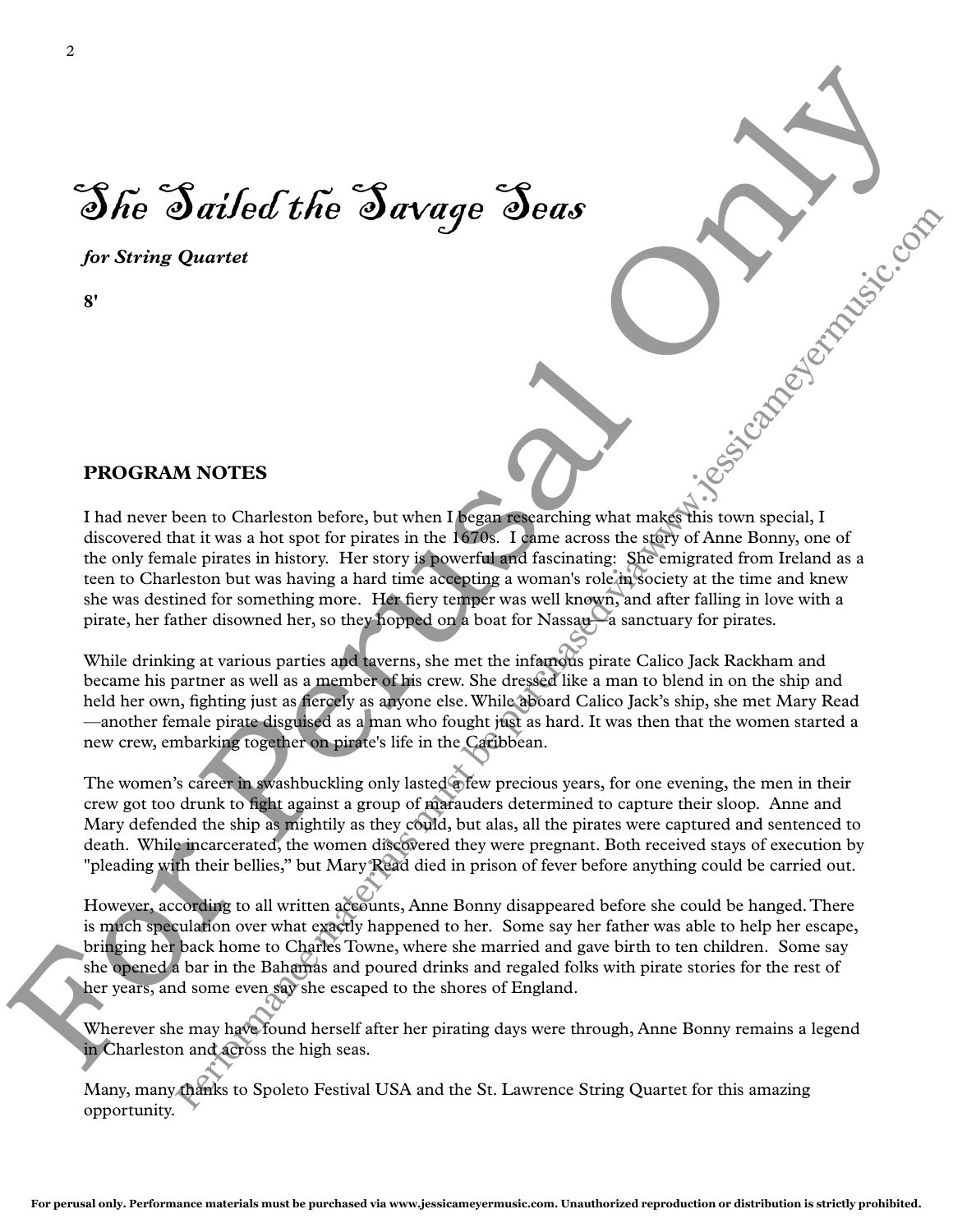## She Sailed the Savage Seas

*for String Quartet*

**8'**

## **PROGRAM NOTES**

I had never been to Charleston before, but when I began researching what makes this town special, I discovered that it was a hot spot for pirates in the 1670s. I came across the story of Anne Bonny, one of the only female pirates in history. Her story is powerful and fascinating: She emigrated from Ireland as a teen to Charleston but was having a hard time accepting a woman's role in society at the time and knew she was destined for something more. Her fiery temper was well known, and after falling in love with a pirate, her father disowned her, so they hopped on a boat for Nassau—a sanctuary for pirates. The Satisfact of the Satisfact of the Satisfact of the state of the person of the state of the state of the state of the state of the state of the state of the state of the state of the state of the state of the state of **DIFIERE CHIP SOILVALGE SOLUS**<br>
Quartet<br>
Quartet<br>
NAYOTES<br>
SESSION OF CONSIDERATION CONSIDERATION INTO THE CONSIDERATION CONSIDERATION OF CONSIDERATION CONSIDERATION CONSIDERATION OF CONSIDERATION CONSIDERATION CONSIDERAT

While drinking at various parties and taverns, she met the infamous pirate Calico Jack Rackham and became his partner as well as a member of his crew. She dressed like a man to blend in on the ship and held her own, fighting just as fiercely as anyone else. While aboard Calico Jack's ship, she met Mary Read —another female pirate disguised as a man who fought just as hard. It was then that the women started a new crew, embarking together on pirate's life in the Caribbean.

 The women's career in swashbuckling only lasted a few precious years, for one evening, the men in their crew got too drunk to fight against a group of marauders determined to capture their sloop. Anne and Mary defended the ship as mightily as they could, but alas, all the pirates were captured and sentenced to death. While incarcerated, the women discovered they were pregnant. Both received stays of execution by "pleading with their bellies," but Mary Read died in prison of fever before anything could be carried out.

 However, according to all written accounts, Anne Bonny disappeared before she could be hanged. There is much speculation over what exactly happened to her. Some say her father was able to help her escape, bringing her back home to Charles Towne, where she married and gave birth to ten children. Some say she opened a bar in the Bahamas and poured drinks and regaled folks with pirate stories for the rest of her years, and some even say she escaped to the shores of England.

 Wherever she may have found herself after her pirating days were through, Anne Bonny remains a legend in Charleston and across the high seas.

Many, many thanks to Spoleto Festival USA and the St. Lawrence String Quartet for this amazing opportunity.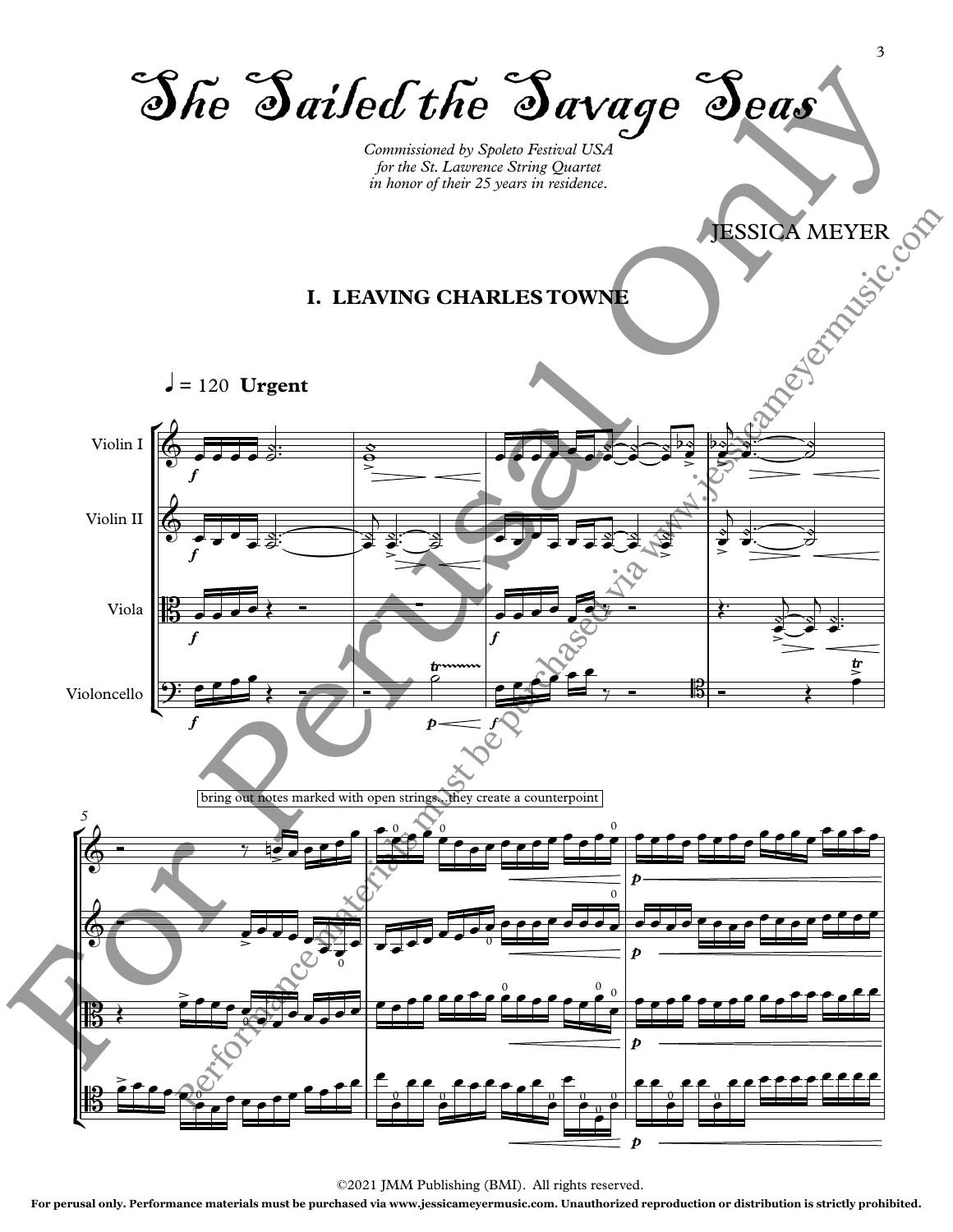

*Commissioned by Spoleto Festival USA for the St. Lawrence String Quartet in honor of their 25 years in residence.*



## **I. LEAVING CHARLES TOWNE**



©2021 JMM Publishing (BMI). All rights reserved.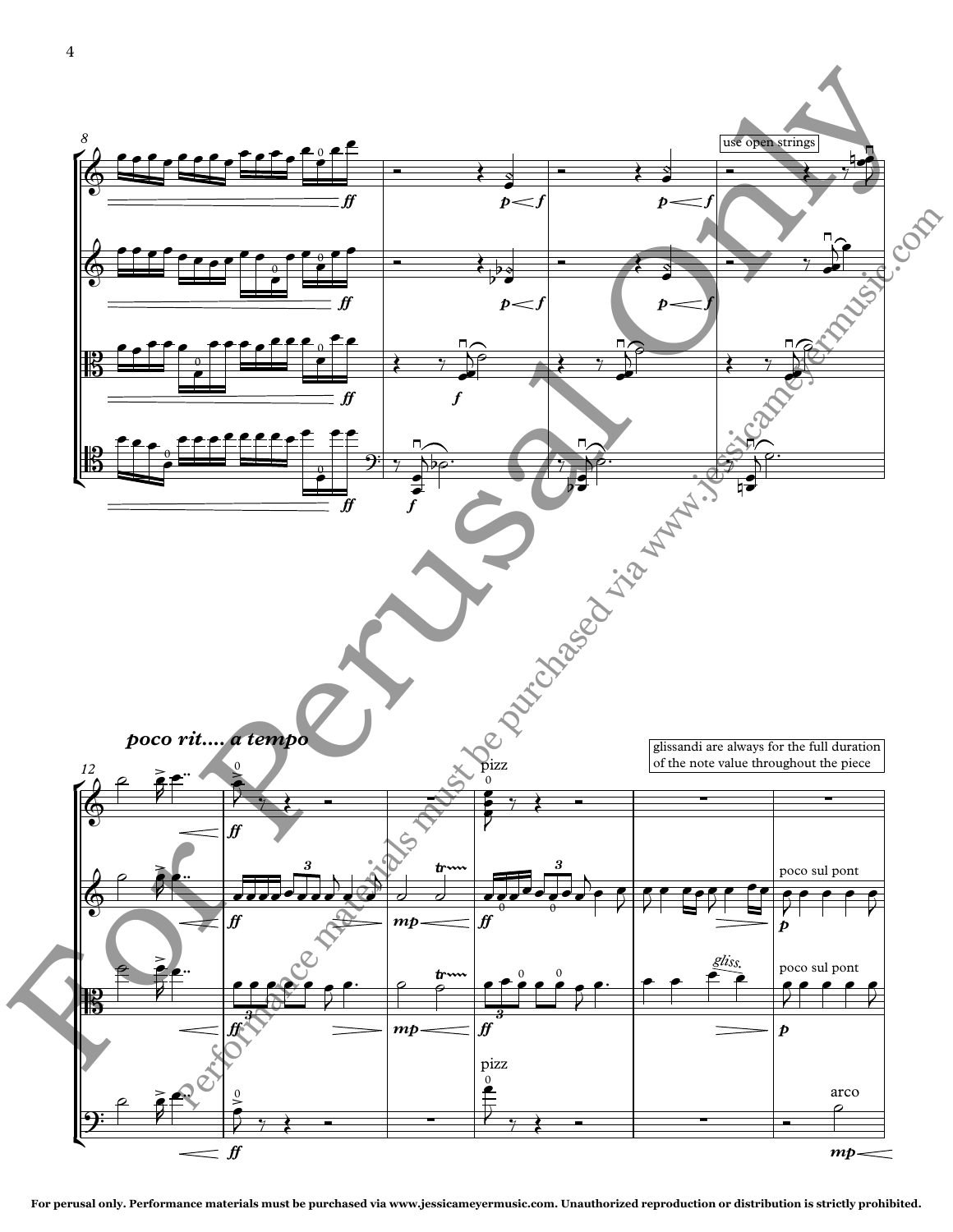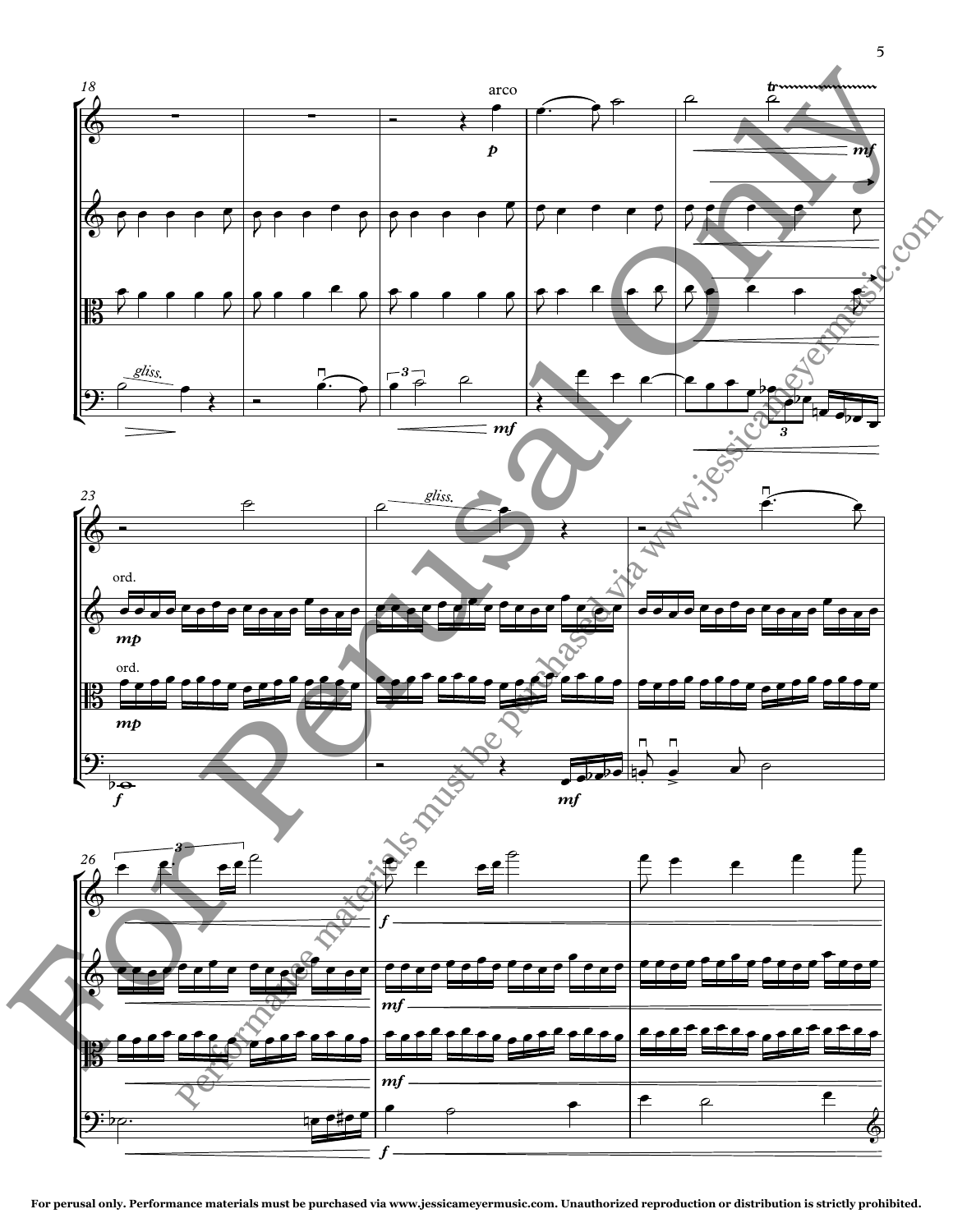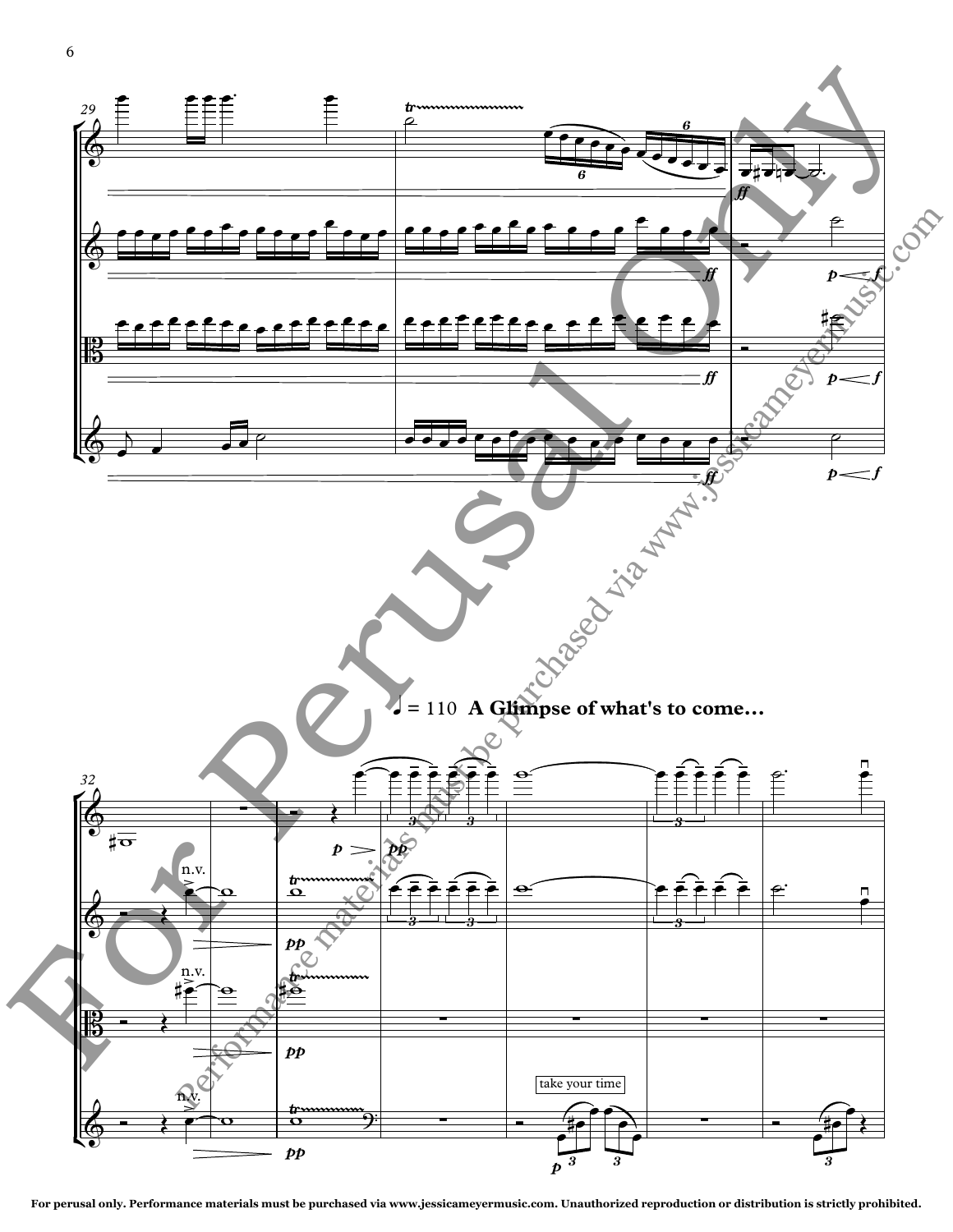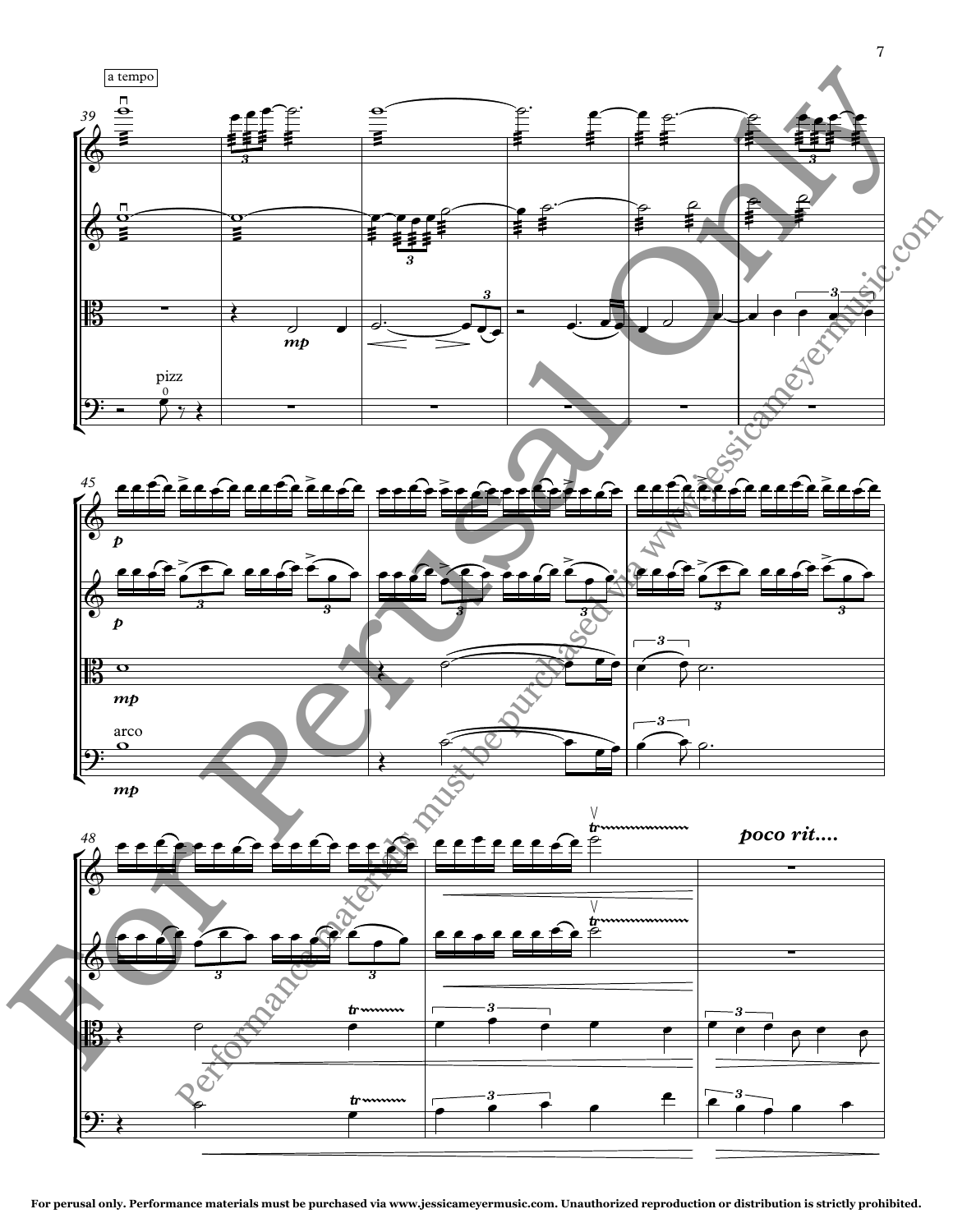



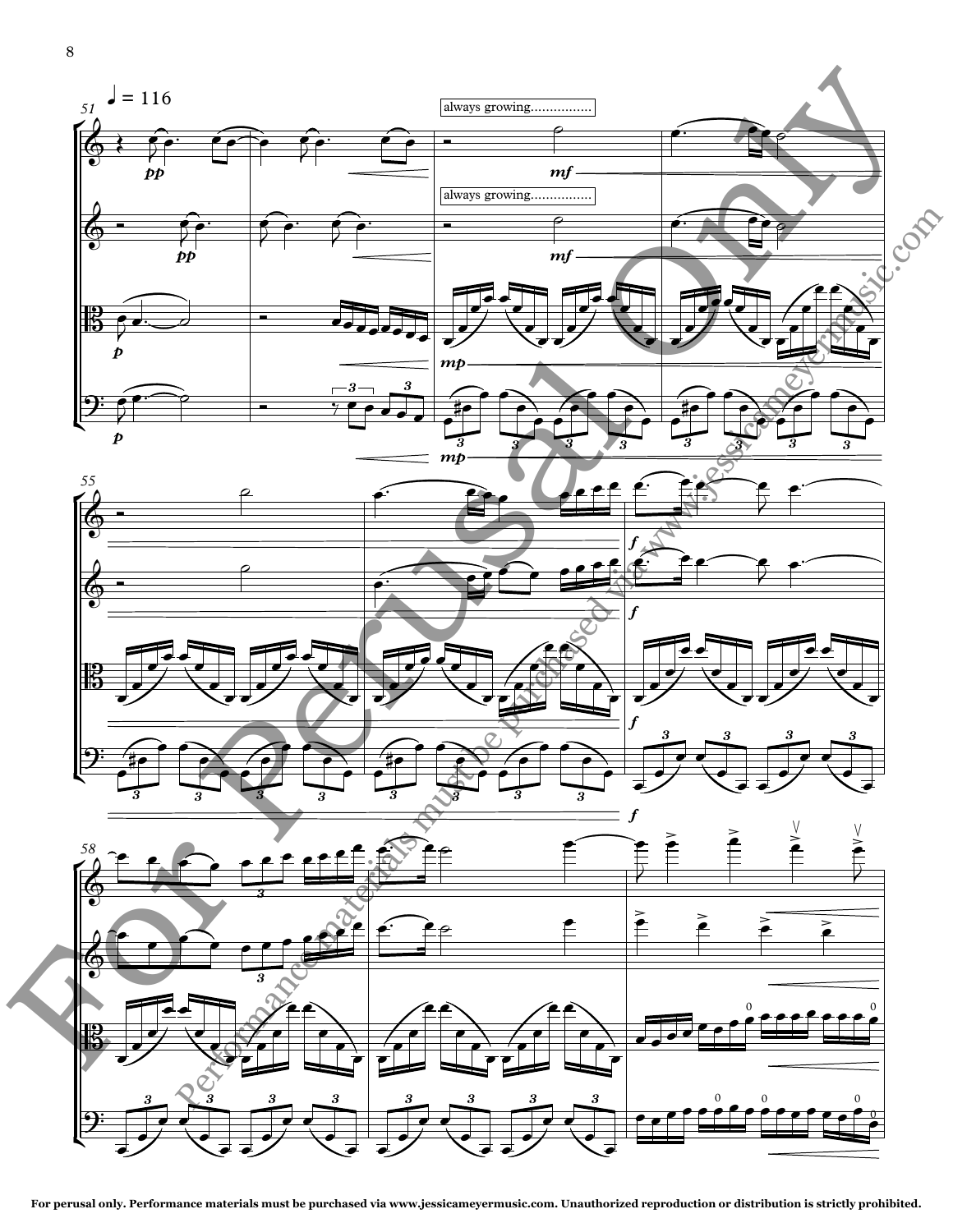

 $\,8\,$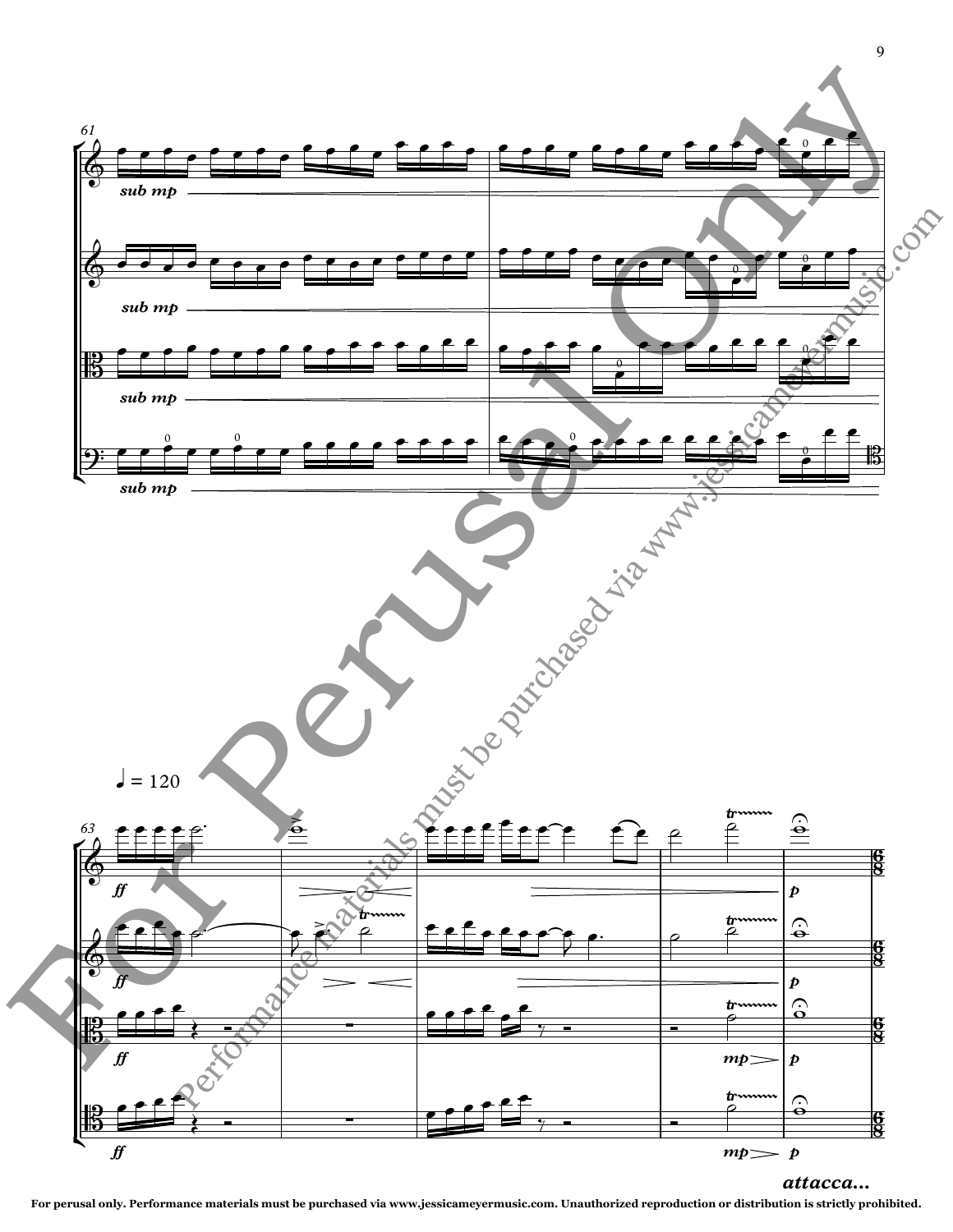

## *attacca...*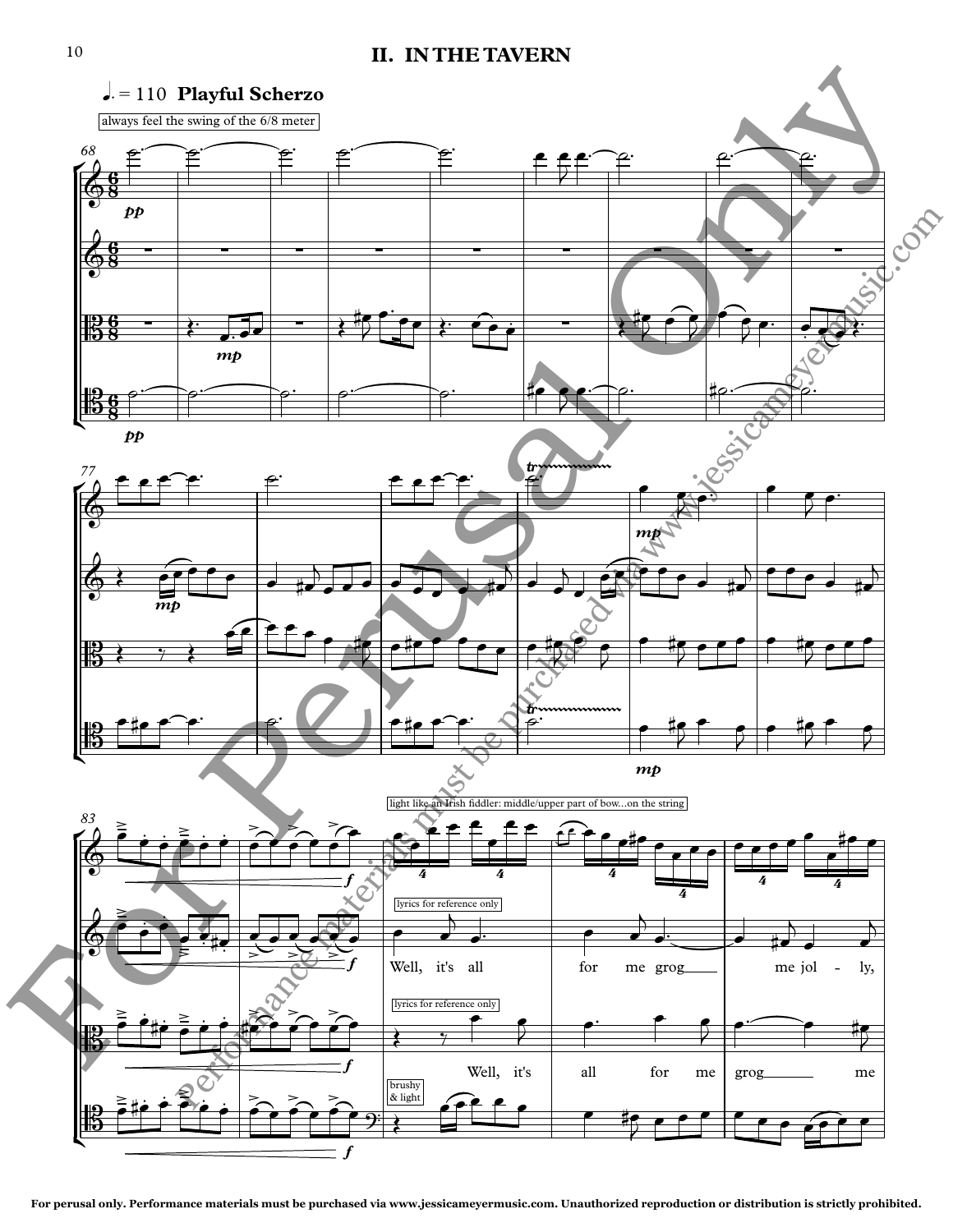

*f*

<u>tip ee</u>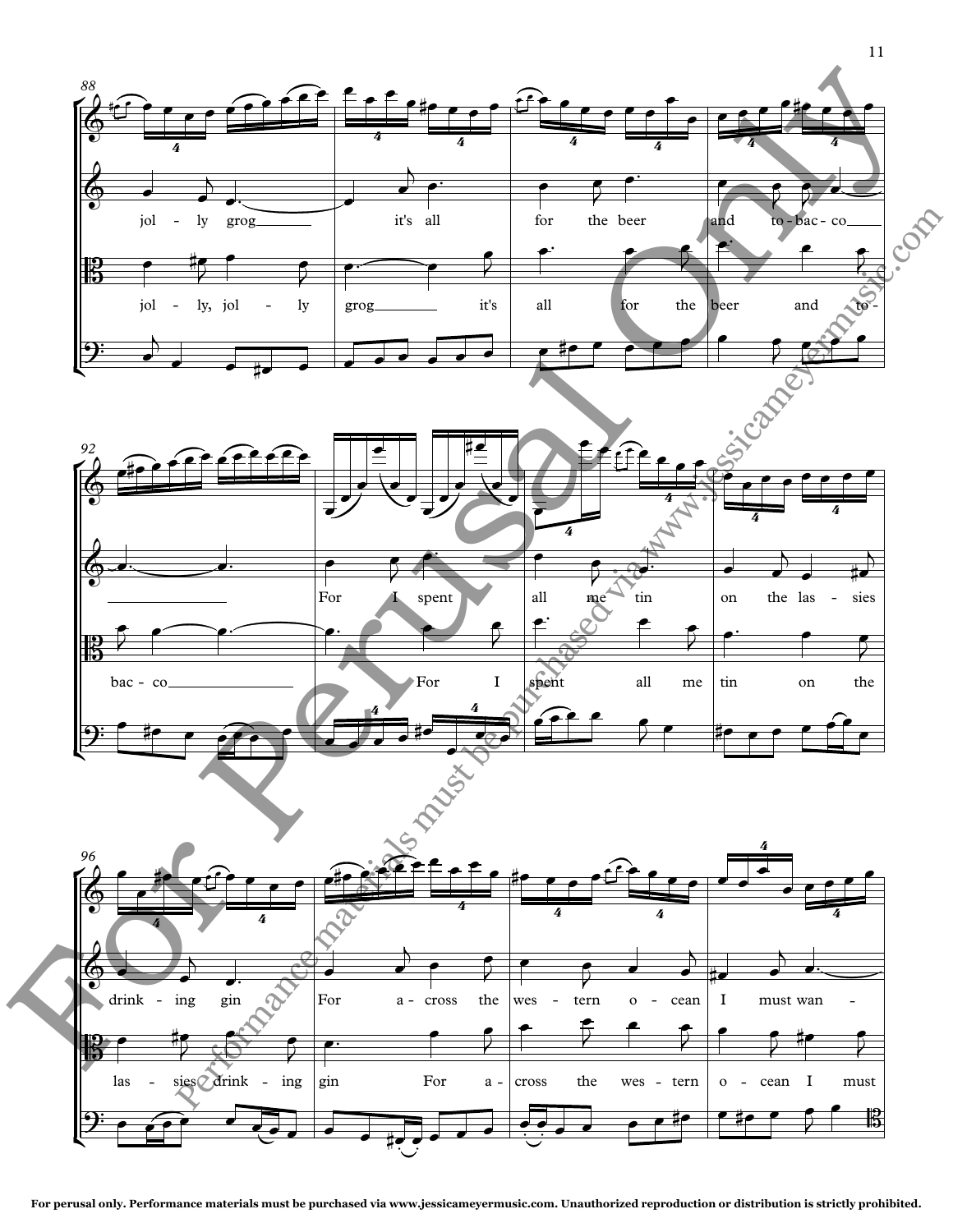

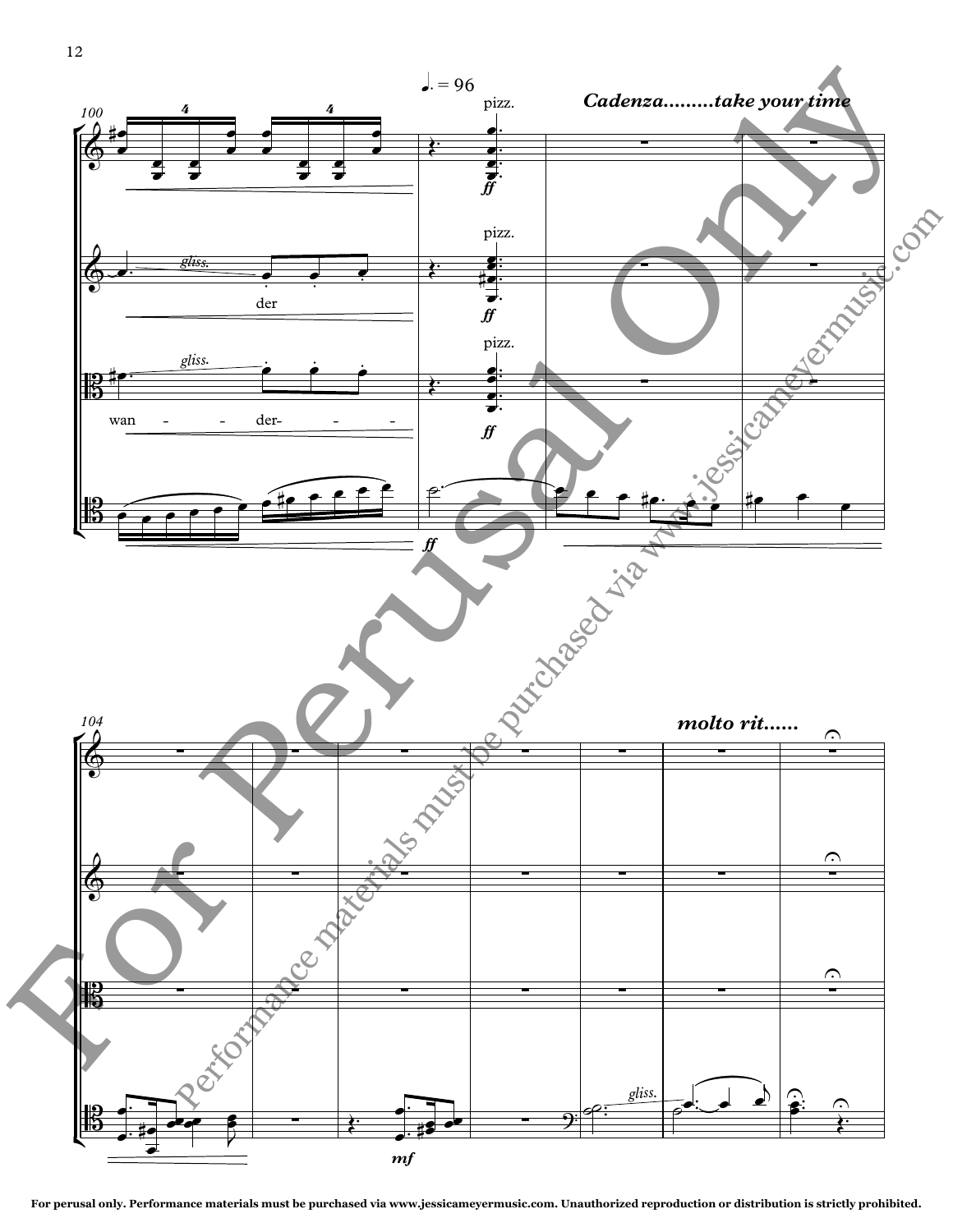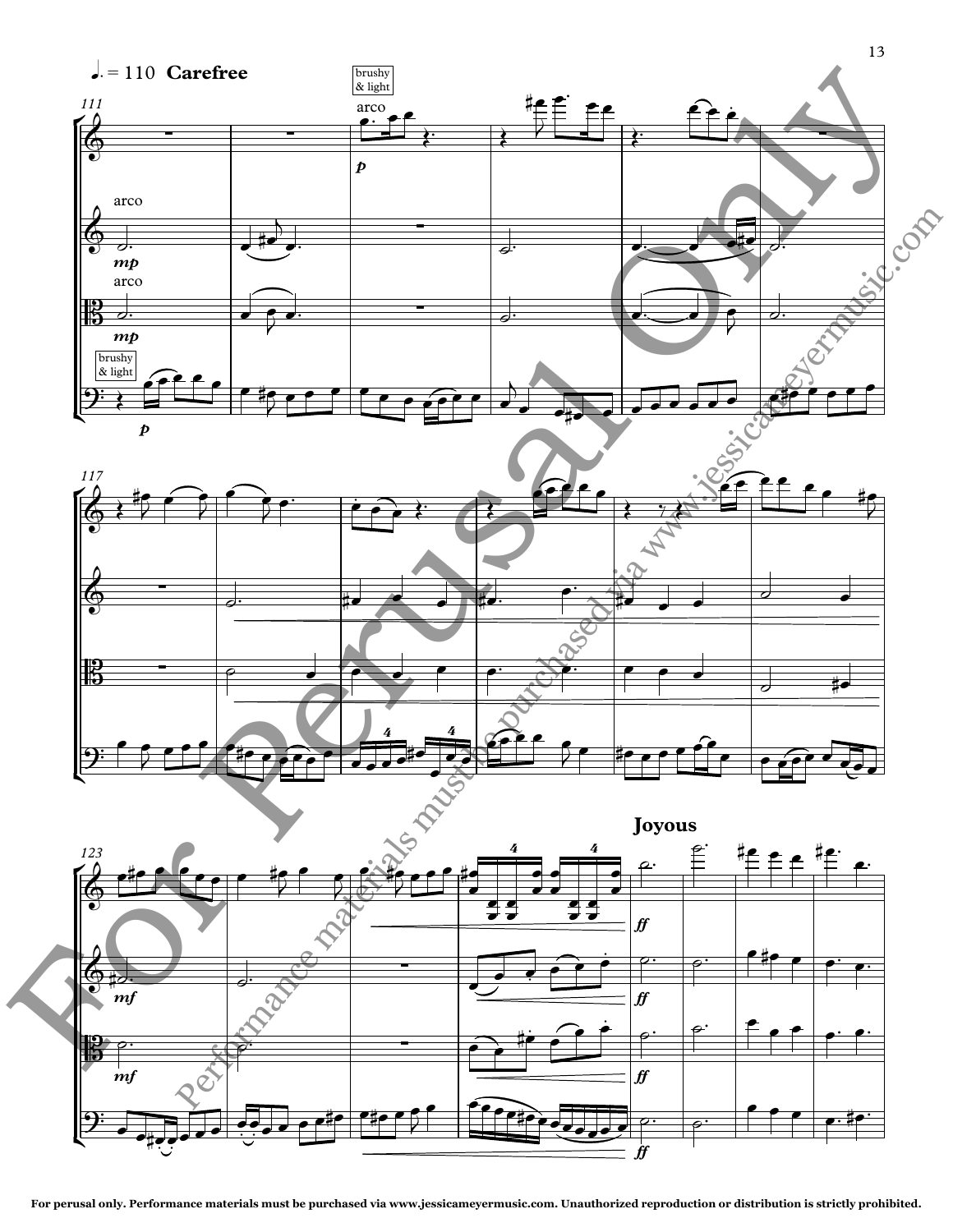



**For perusal only. Performance materials must be purchased via www.jessicameyermusic.com. Unauthorized reproduction or distribution is strictly prohibited.**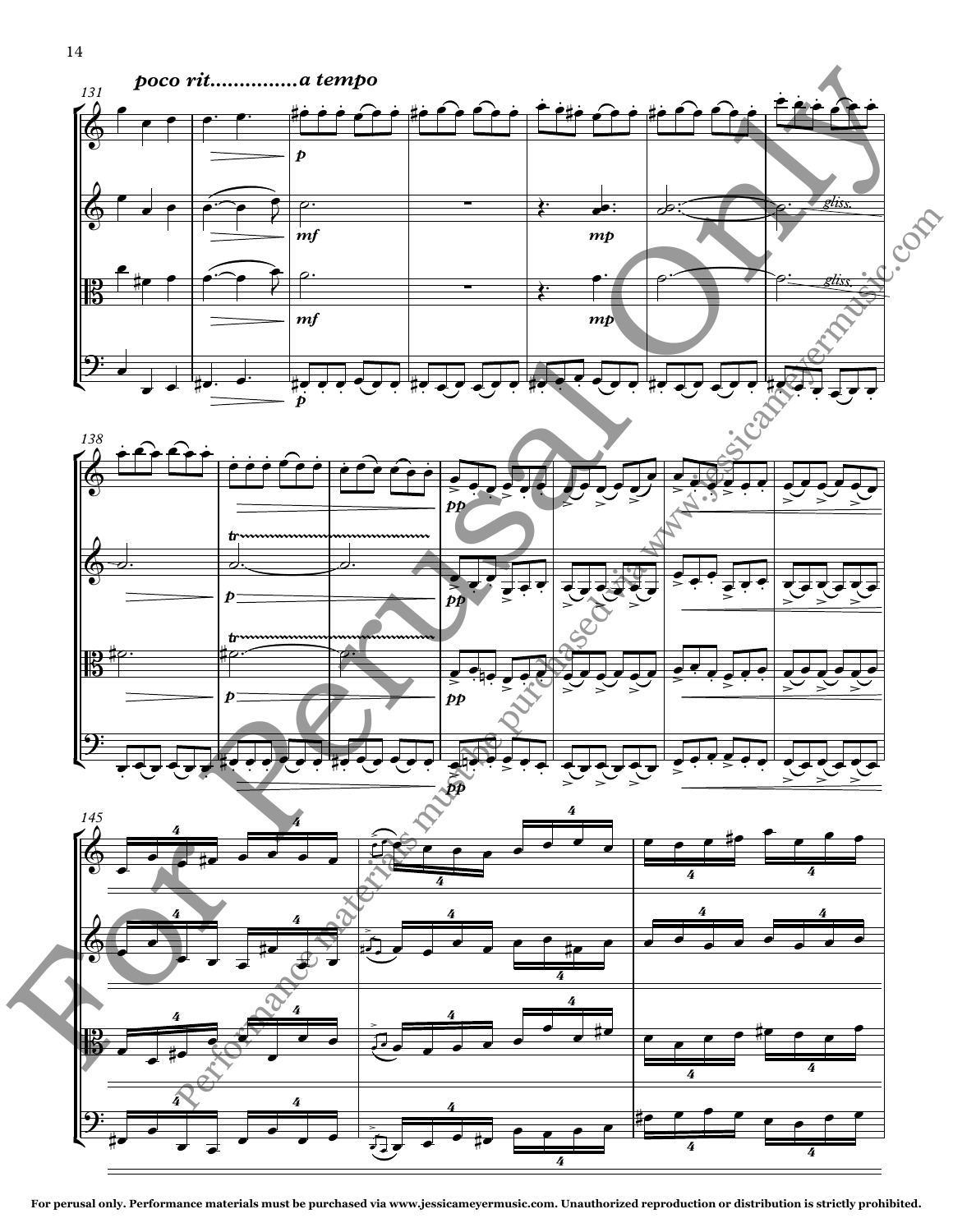



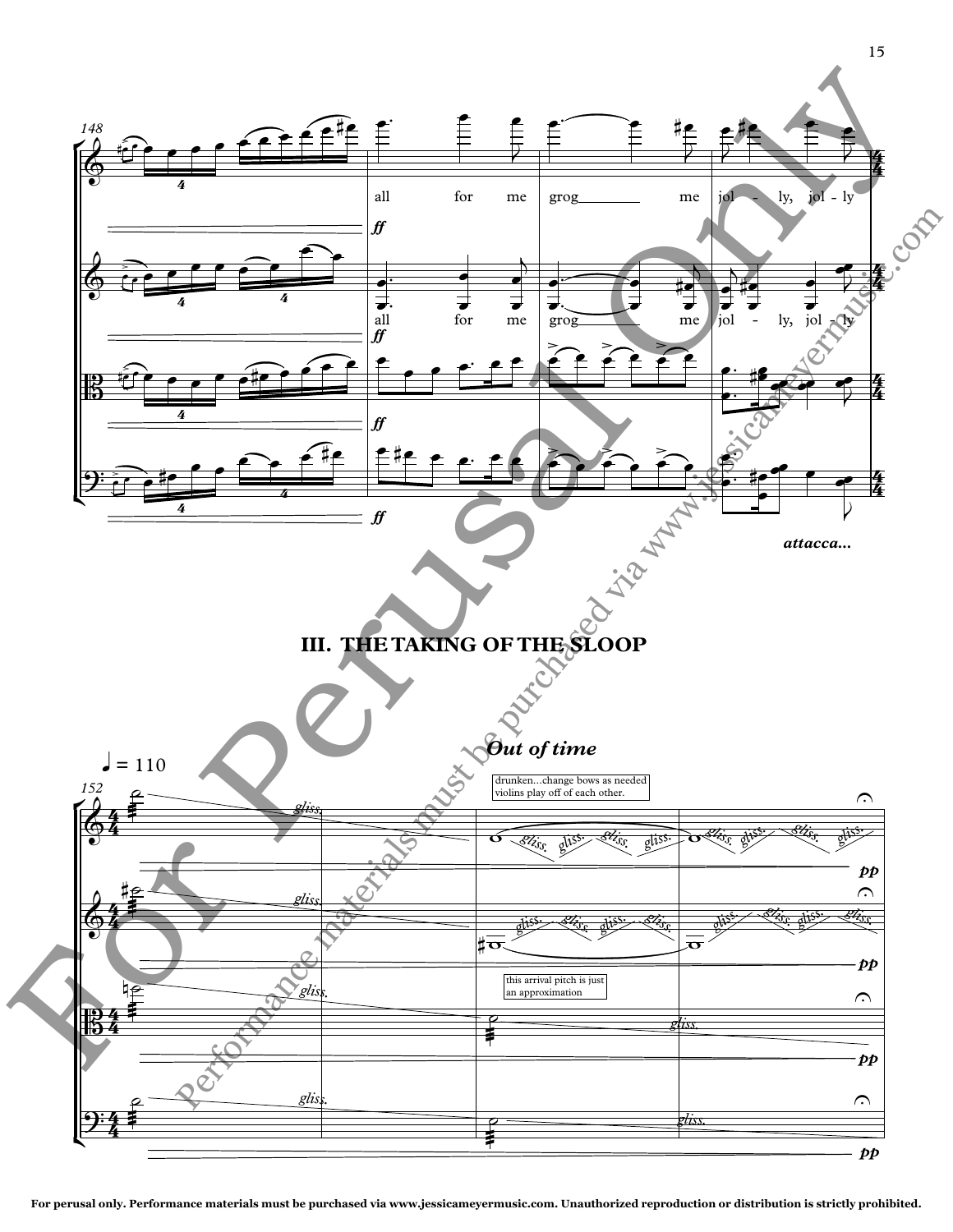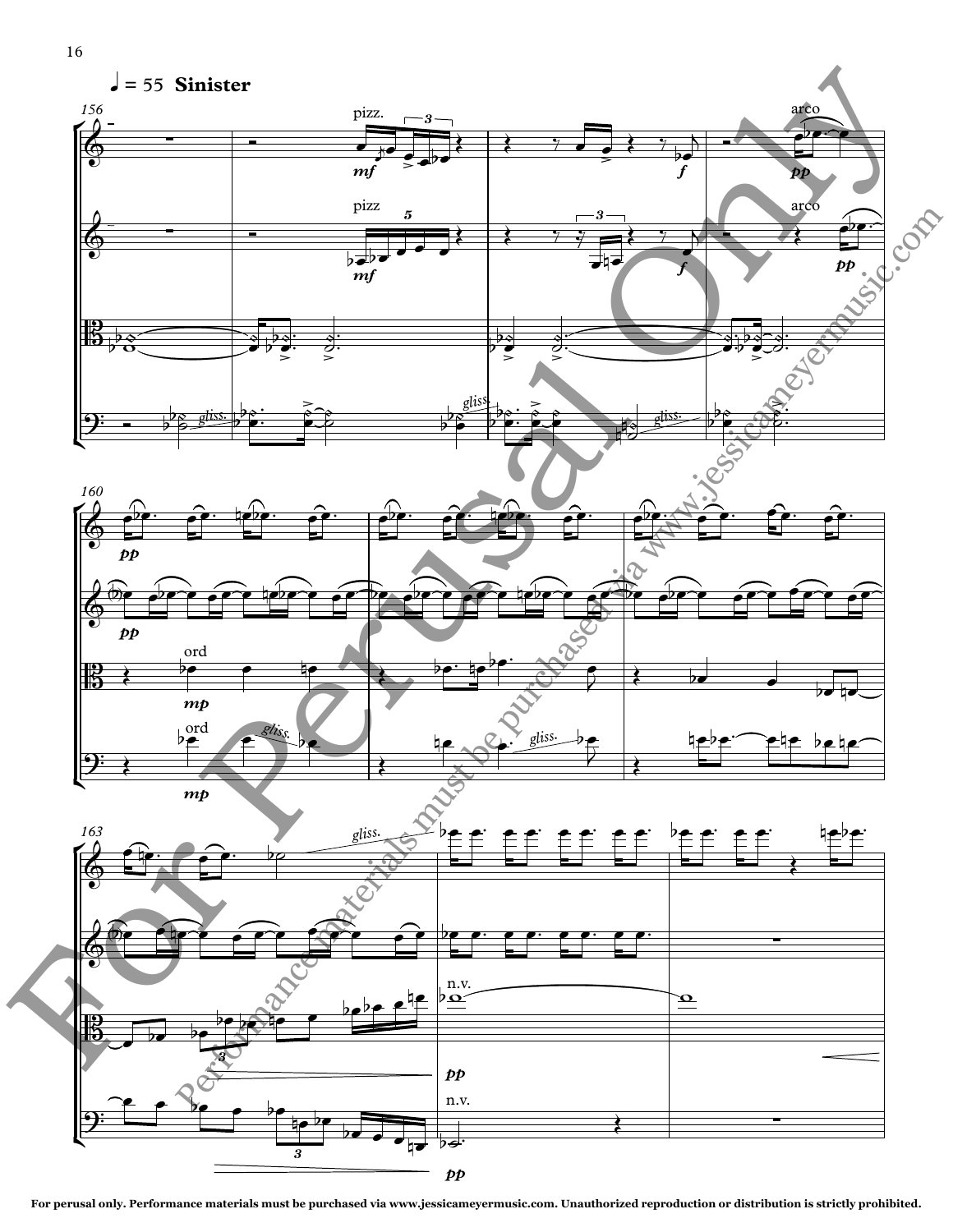

*pp*

**For perusal only. Performance materials must be purchased via www.jessicameyermusic.com. Unauthorized reproduction or distribution is strictly prohibited.**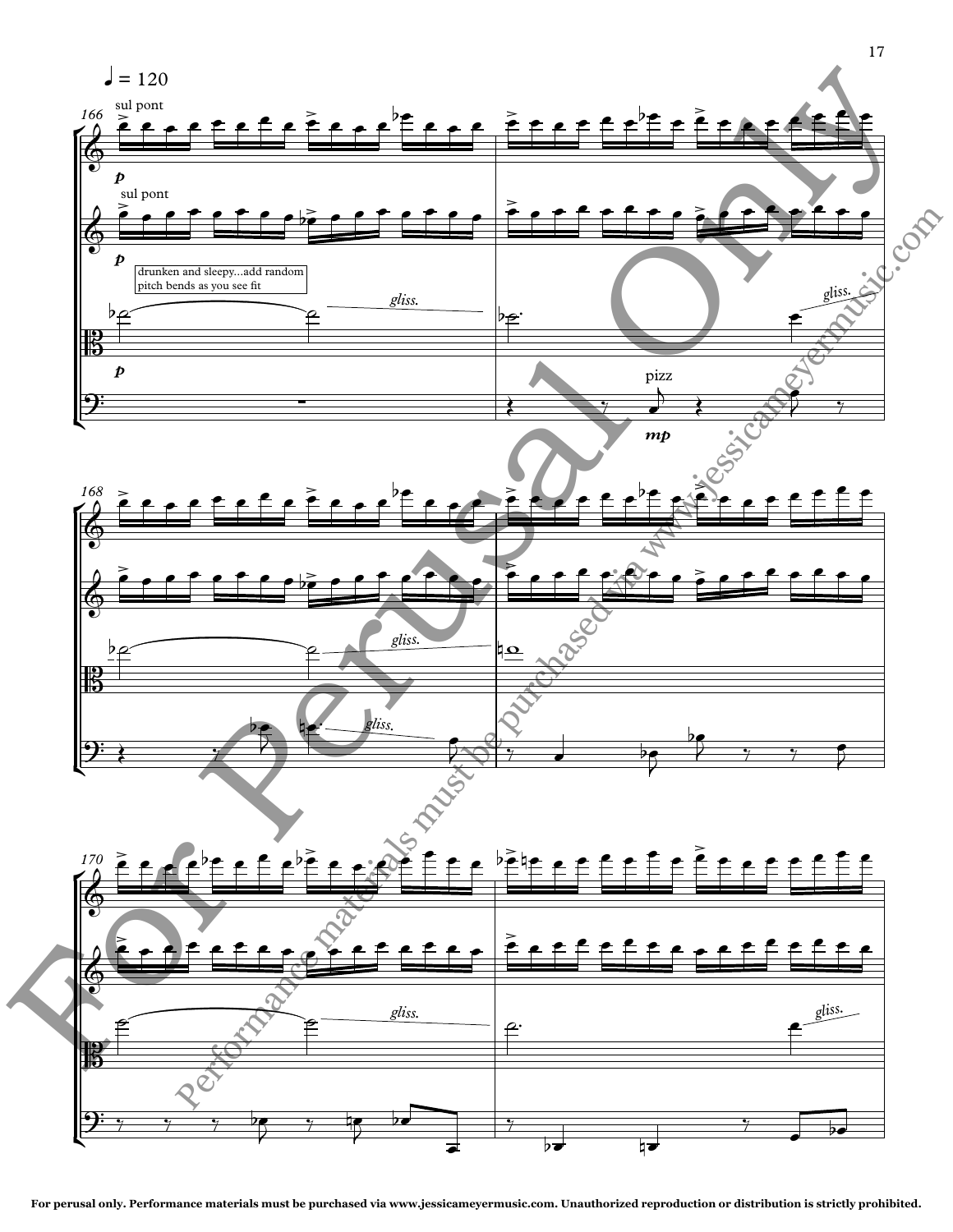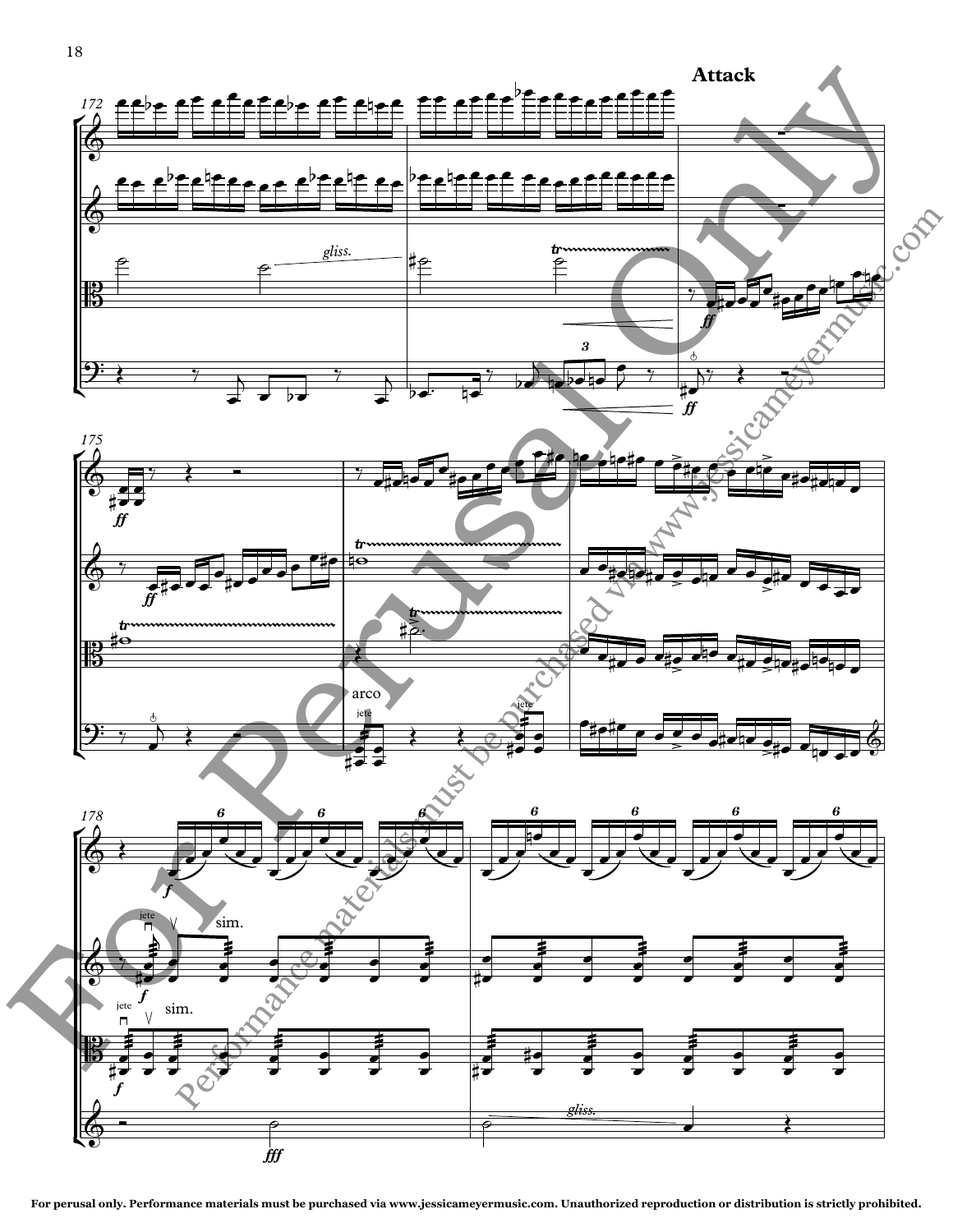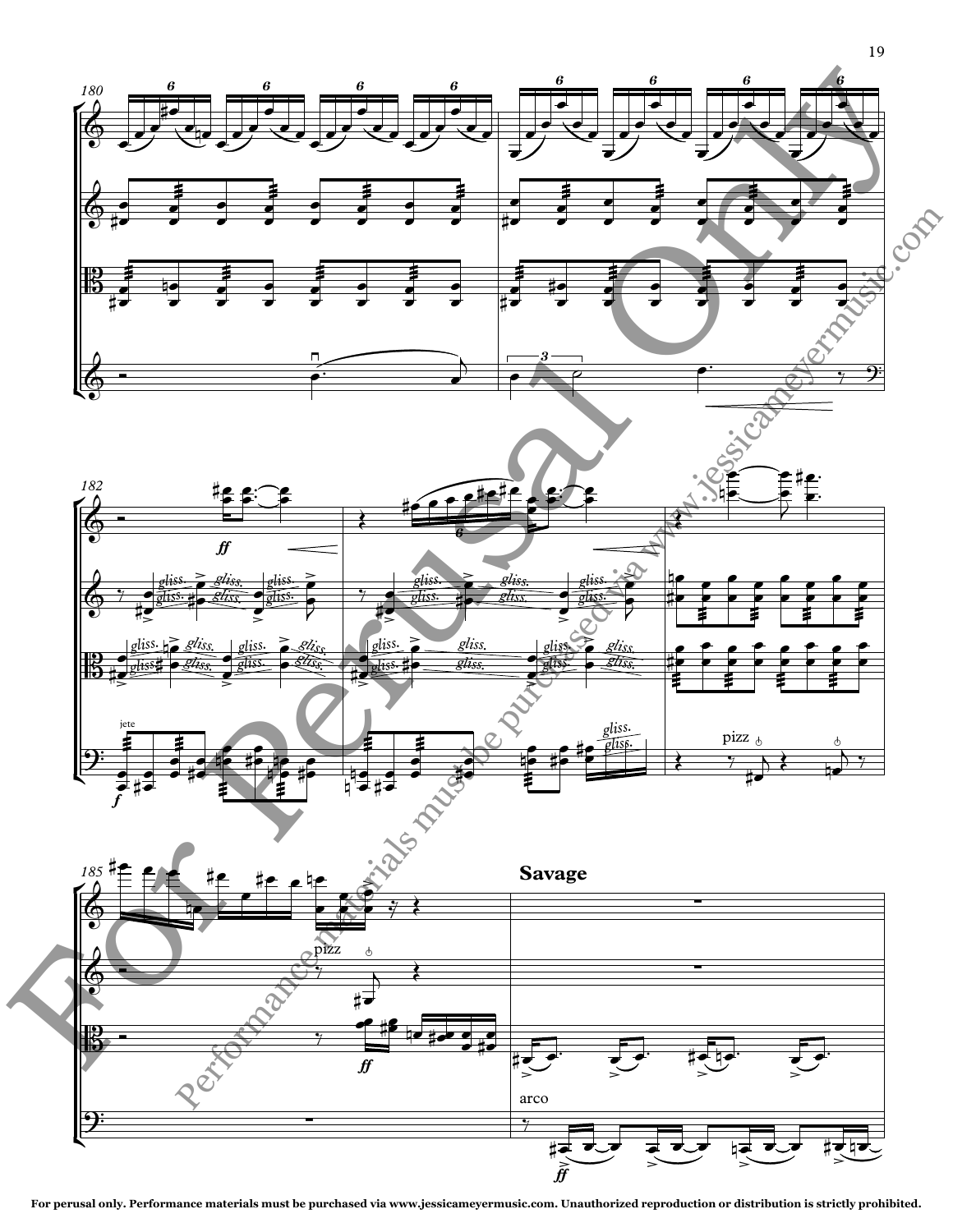





19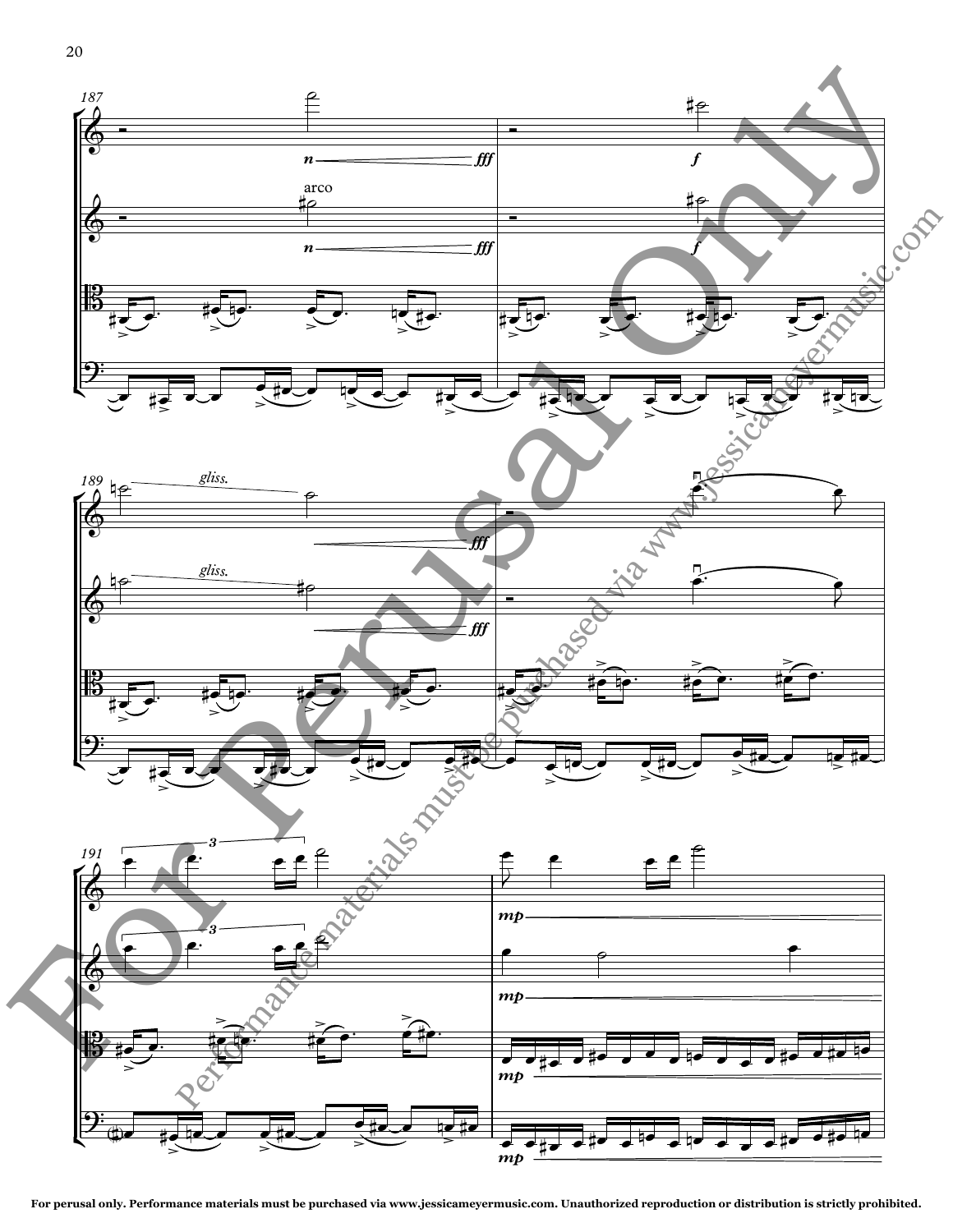



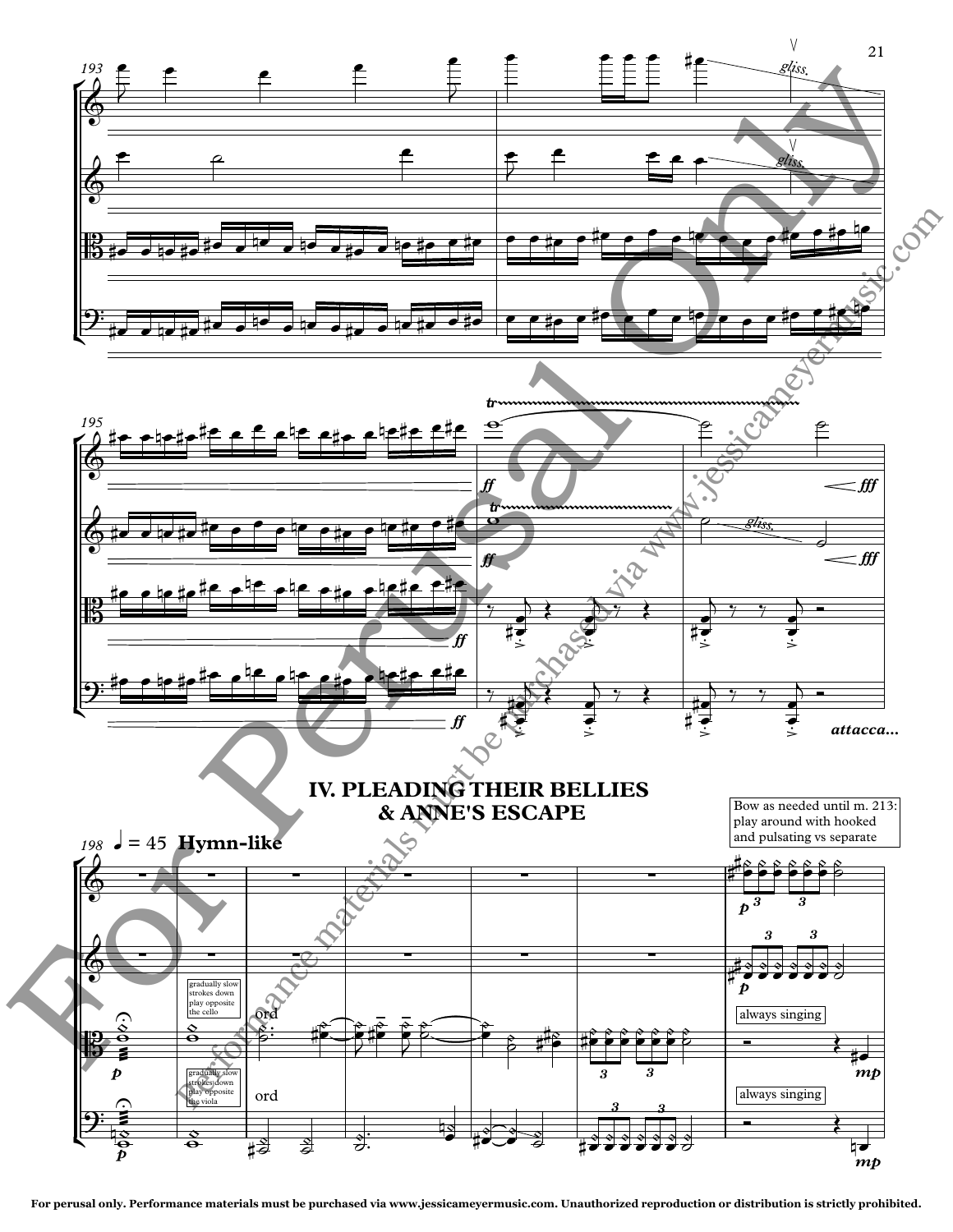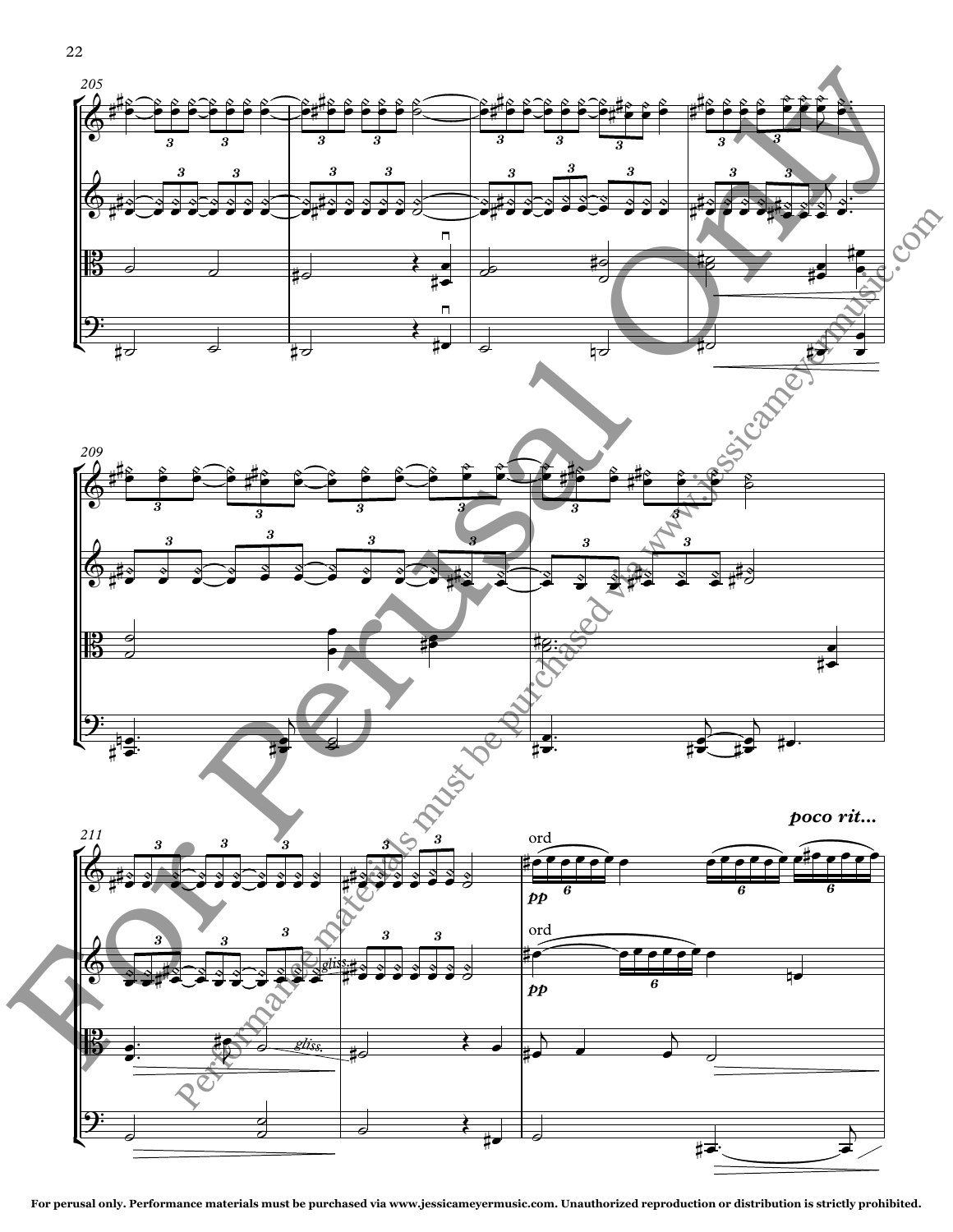



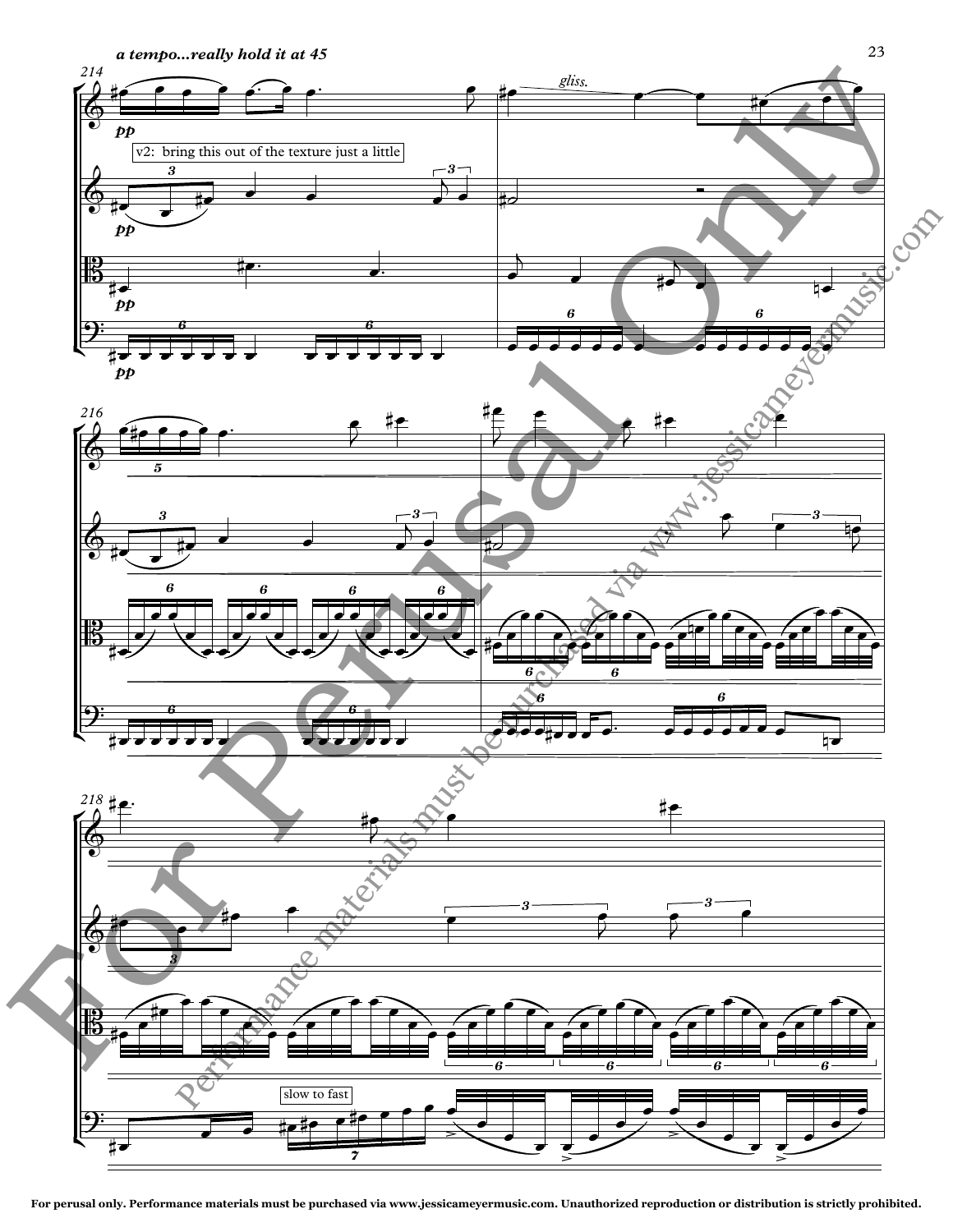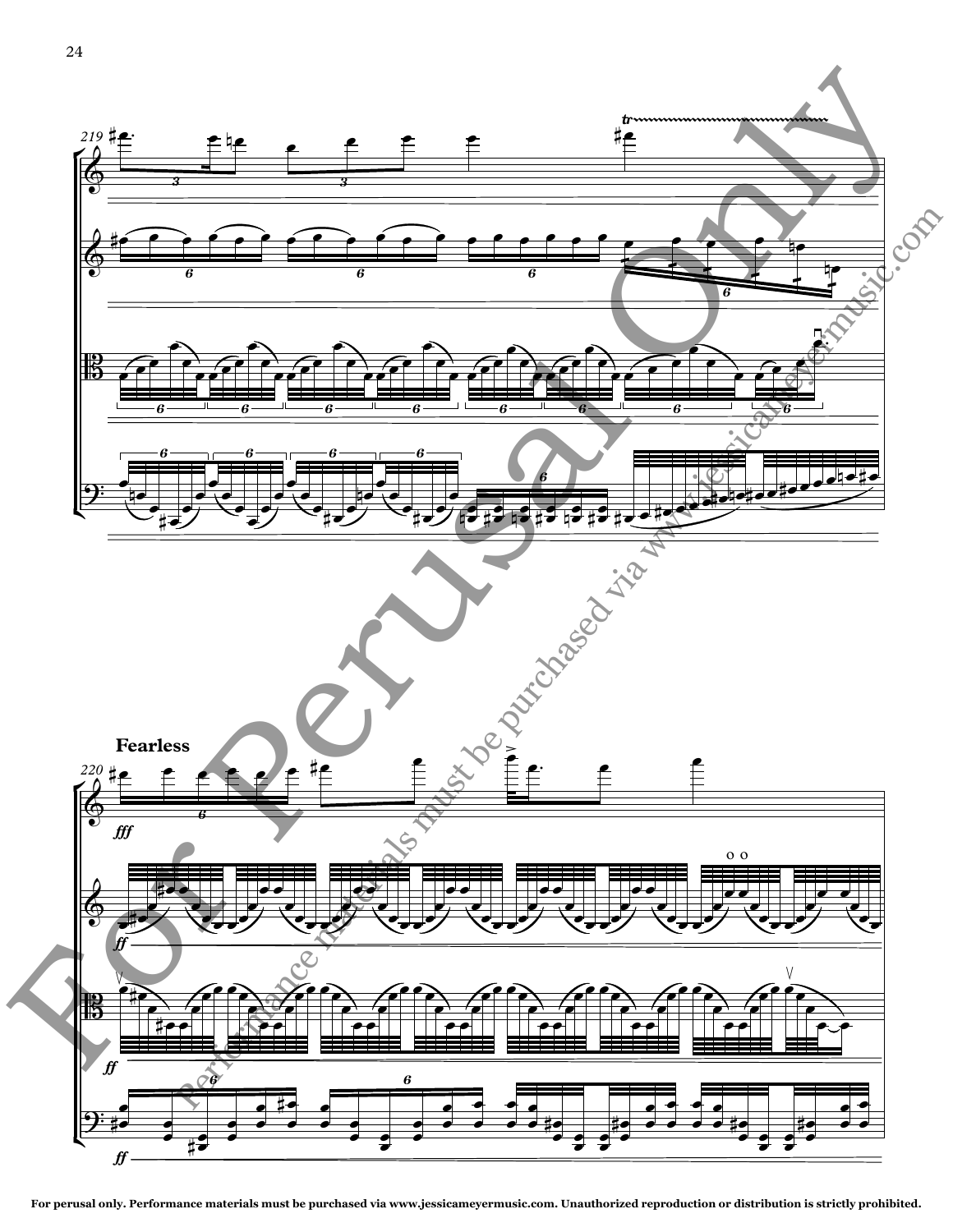